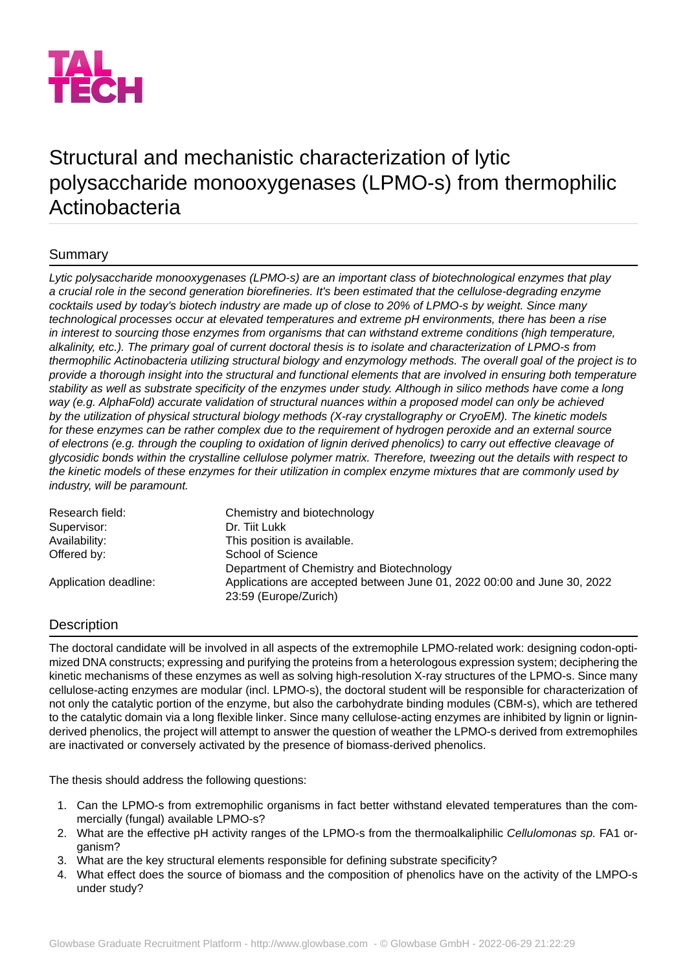

# Structural and mechanistic characterization of lytic polysaccharide monooxygenases (LPMO-s) from thermophilic Actinobacteria

## Summary

*Lytic polysaccharide monooxygenases (LPMO-s) are an important class of biotechnological enzymes that play a crucial role in the second generation biorefineries. It's been estimated that the cellulose-degrading enzyme cocktails used by today's biotech industry are made up of close to 20% of LPMO-s by weight. Since many technological processes occur at elevated temperatures and extreme pH environments, there has been a rise in interest to sourcing those enzymes from organisms that can withstand extreme conditions (high temperature,* alkalinity, etc.). The primary goal of current doctoral thesis is to isolate and characterization of LPMO-s from *thermophilic Actinobacteria utilizing structural biology and enzymology methods. The overall goal of the project is to provide a thorough insight into the structural and functional elements that are involved in ensuring both temperature* stability as well as substrate specificity of the enzymes under study. Although in silico methods have come a long *way (e.g. AlphaFold) accurate validation of structural nuances within a proposed model can only be achieved by the utilization of physical structural biology methods (X-ray crystallography or CryoEM). The kinetic models for these enzymes can be rather complex due to the requirement of hydrogen peroxide and an external source of electrons (e.g. through the coupling to oxidation of lignin derived phenolics) to carry out effective cleavage of glycosidic bonds within the crystalline cellulose polymer matrix. Therefore, tweezing out the details with respect to the kinetic models of these enzymes for their utilization in complex enzyme mixtures that are commonly used by industry, will be paramount.*

| Chemistry and biotechnology                                    |
|----------------------------------------------------------------|
| Dr. Tijt Lukk                                                  |
| This position is available.                                    |
| School of Science<br>Department of Chemistry and Biotechnology |
|                                                                |
|                                                                |

### **Description**

The doctoral candidate will be involved in all aspects of the extremophile LPMO-related work: designing codon-optimized DNA constructs; expressing and purifying the proteins from a heterologous expression system; deciphering the kinetic mechanisms of these enzymes as well as solving high-resolution X-ray structures of the LPMO-s. Since many cellulose-acting enzymes are modular (incl. LPMO-s), the doctoral student will be responsible for characterization of not only the catalytic portion of the enzyme, but also the carbohydrate binding modules (CBM-s), which are tethered to the catalytic domain via a long flexible linker. Since many cellulose-acting enzymes are inhibited by lignin or ligninderived phenolics, the project will attempt to answer the question of weather the LPMO-s derived from extremophiles are inactivated or conversely activated by the presence of biomass-derived phenolics.

The thesis should address the following questions:

- 1. Can the LPMO-s from extremophilic organisms in fact better withstand elevated temperatures than the commercially (fungal) available LPMO-s?
- 2. What are the effective pH activity ranges of the LPMO-s from the thermoalkaliphilic *Cellulomonas sp.* FA1 organism?
- 3. What are the key structural elements responsible for defining substrate specificity?
- 4. What effect does the source of biomass and the composition of phenolics have on the activity of the LMPO-s under study?